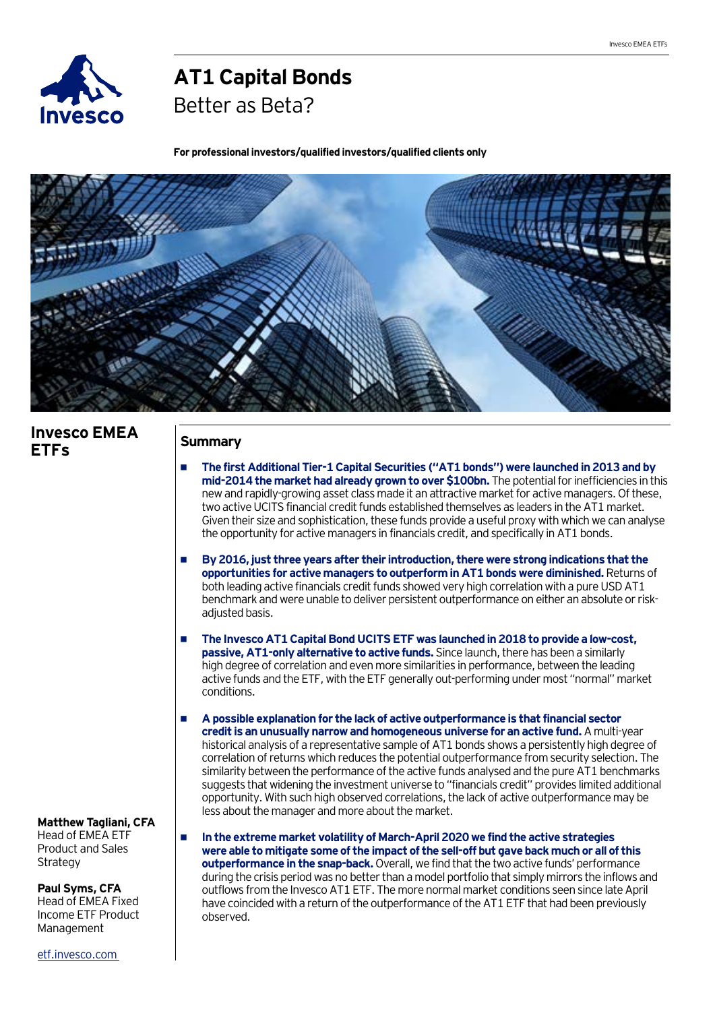

# **AT1 Capital Bonds**

Better as Beta?

**For professional investors/qualified investors/qualified clients only**



## **Invesco EMEA ETFs**

## **Summary**

- **• The first Additional Tier-1 Capital Securities ("AT1 bonds") were launched in 2013 and by mid-2014 the market had already grown to over \$100bn.** The potential for inefficiencies in this new and rapidly-growing asset class made it an attractive market for active managers. Of these, two active UCITS financial credit funds established themselves as leaders in the AT1 market. Given their size and sophistication, these funds provide a useful proxy with which we can analyse the opportunity for active managers in financials credit, and specifically in AT1 bonds.
- **• By 2016, just three years after their introduction, there were strong indications that the opportunities for active managers to outperform in AT1 bonds were diminished.** Returns of both leading active financials credit funds showed very high correlation with a pure USD AT1 benchmark and were unable to deliver persistent outperformance on either an absolute or riskadjusted basis.
- **• The Invesco AT1 Capital Bond UCITS ETF was launched in 2018 to provide a low-cost, passive, AT1-only alternative to active funds.** Since launch, there has been a similarly high degree of correlation and even more similarities in performance, between the leading active funds and the ETF, with the ETF generally out-performing under most "normal" market conditions.
- **• A possible explanation for the lack of active outperformance is that financial sector credit is an unusually narrow and homogeneous universe for an active fund.** A multi-year historical analysis of a representative sample of AT1 bonds shows a persistently high degree of correlation of returns which reduces the potential outperformance from security selection. The similarity between the performance of the active funds analysed and the pure AT1 benchmarks suggests that widening the investment universe to "financials credit" provides limited additional opportunity. With such high observed correlations, the lack of active outperformance may be less about the manager and more about the market.

**• In the extreme market volatility of March-April 2020 we find the active strategies were able to mitigate some of the impact of the sell-off but gave back much or all of this outperformance in the snap-back.** Overall, we find that the two active funds' performance during the crisis period was no better than a model portfolio that simply mirrors the inflows and outflows from the Invesco AT1 ETF. The more normal market conditions seen since late April have coincided with a return of the outperformance of the AT1 ETF that had been previously observed.

**Matthew Tagliani, CFA** Head of EMEA ETF Product and Sales **Strategy** 

**Paul Syms, CFA** Head of EMEA Fixed Income ETF Product Management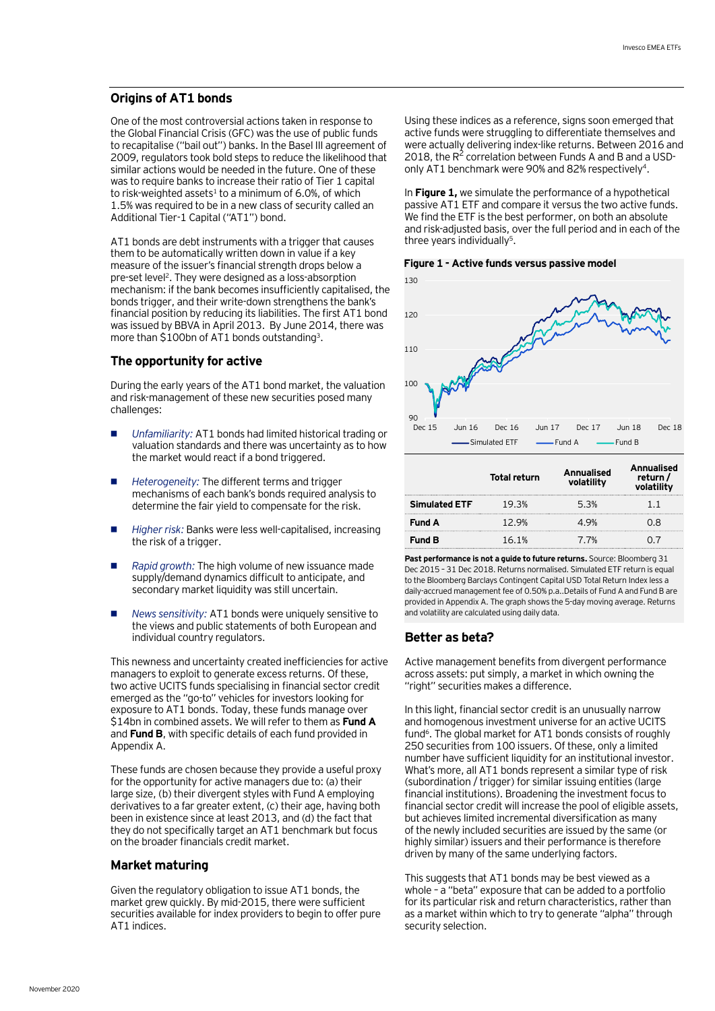#### **Origins of AT1 bonds**

One of the most controversial actions taken in response to the Global Financial Crisis (GFC) was the use of public funds to recapitalise ("bail out") banks. In the Basel III agreement of 2009, regulators took bold steps to reduce the likelihood that similar actions would be needed in the future. One of these was to require banks to increase their ratio of Tier 1 capital to risk-weighted assets<sup>1</sup> to a minimum of 6.0%, of which 1.5% was required to be in a new class of security called an Additional Tier-1 Capital ("AT1") bond.

AT1 bonds are debt instruments with a trigger that causes them to be automatically written down in value if a key measure of the issuer's financial strength drops below a pre-set level<sup>2</sup>. They were designed as a loss-absorption mechanism: if the bank becomes insufficiently capitalised, the bonds trigger, and their write-down strengthens the bank's financial position by reducing its liabilities. The first AT1 bond was issued by BBVA in April 2013. By June 2014, there was more than \$100bn of AT1 bonds outstanding3.

#### **The opportunity for active**

During the early years of the AT1 bond market, the valuation and risk-management of these new securities posed many challenges:

- *• Unfamiliarity:* AT1 bonds had limited historical trading or valuation standards and there was uncertainty as to how the market would react if a bond triggered.
- *• Heterogeneity:* The different terms and trigger mechanisms of each bank's bonds required analysis to determine the fair yield to compensate for the risk.
- *• Higher risk:* Banks were less well-capitalised, increasing the risk of a trigger.
- *• Rapid growth:* The high volume of new issuance made supply/demand dynamics difficult to anticipate, and secondary market liquidity was still uncertain.
- *• News sensitivity:* AT1 bonds were uniquely sensitive to the views and public statements of both European and individual country regulators.

This newness and uncertainty created inefficiencies for active managers to exploit to generate excess returns. Of these, two active UCITS funds specialising in financial sector credit emerged as the "go-to" vehicles for investors looking for exposure to AT1 bonds. Today, these funds manage over \$14bn in combined assets. We will refer to them as **Fund A**  and **Fund B**, with specific details of each fund provided in Appendix A.

These funds are chosen because they provide a useful proxy for the opportunity for active managers due to: (a) their large size, (b) their divergent styles with Fund A employing derivatives to a far greater extent, (c) their age, having both been in existence since at least 2013, and (d) the fact that they do not specifically target an AT1 benchmark but focus on the broader financials credit market.

#### **Market maturing**

Given the regulatory obligation to issue AT1 bonds, the market grew quickly. By mid-2015, there were sufficient securities available for index providers to begin to offer pure AT1 indices.

Using these indices as a reference, signs soon emerged that active funds were struggling to differentiate themselves and were actually delivering index-like returns. Between 2016 and 2018, the  $R^2$  correlation between Funds A and B and a USDonly AT1 benchmark were 90% and 82% respectively<sup>4</sup>.

In **Figure 1,** we simulate the performance of a hypothetical passive AT1 ETF and compare it versus the two active funds. We find the ETF is the best performer, on both an absolute and risk-adjusted basis, over the full period and in each of the three years individually<sup>5</sup>.

**Figure 1 - Active funds versus passive model**



|                      | <b>Total return</b> | Annualised<br>volatility | <b>Annualised</b><br>return/<br>volatility |
|----------------------|---------------------|--------------------------|--------------------------------------------|
| <b>Simulated ETF</b> | 19.3%               | 5.3%                     | - 1                                        |
| <b>Fund A</b>        | 12 9%               | 4 9%                     | 18                                         |
| <b>Fund B</b>        | 16.1%               | 7.7%                     |                                            |

Past performance is not a guide to future returns. Source: Bloomberg 31 Dec 2015 – 31 Dec 2018. Returns normalised. Simulated ETF return is equal to the Bloomberg Barclays Contingent Capital USD Total Return Index less a daily-accrued management fee of 0.50% p.a..Details of Fund A and Fund B are provided in Appendix A. The graph shows the 5-day moving average. Returns and volatility are calculated using daily data.

#### **Better as beta?**

Active management benefits from divergent performance across assets: put simply, a market in which owning the "right" securities makes a difference.

In this light, financial sector credit is an unusually narrow and homogenous investment universe for an active UCITS fund<sup>6</sup>. The global market for AT1 bonds consists of roughly 250 securities from 100 issuers. Of these, only a limited number have sufficient liquidity for an institutional investor. What's more, all AT1 bonds represent a similar type of risk (subordination / trigger) for similar issuing entities (large financial institutions). Broadening the investment focus to financial sector credit will increase the pool of eligible assets, but achieves limited incremental diversification as many of the newly included securities are issued by the same (or highly similar) issuers and their performance is therefore driven by many of the same underlying factors.

This suggests that AT1 bonds may be best viewed as a whole – a "beta" exposure that can be added to a portfolio for its particular risk and return characteristics, rather than as a market within which to try to generate "alpha" through security selection.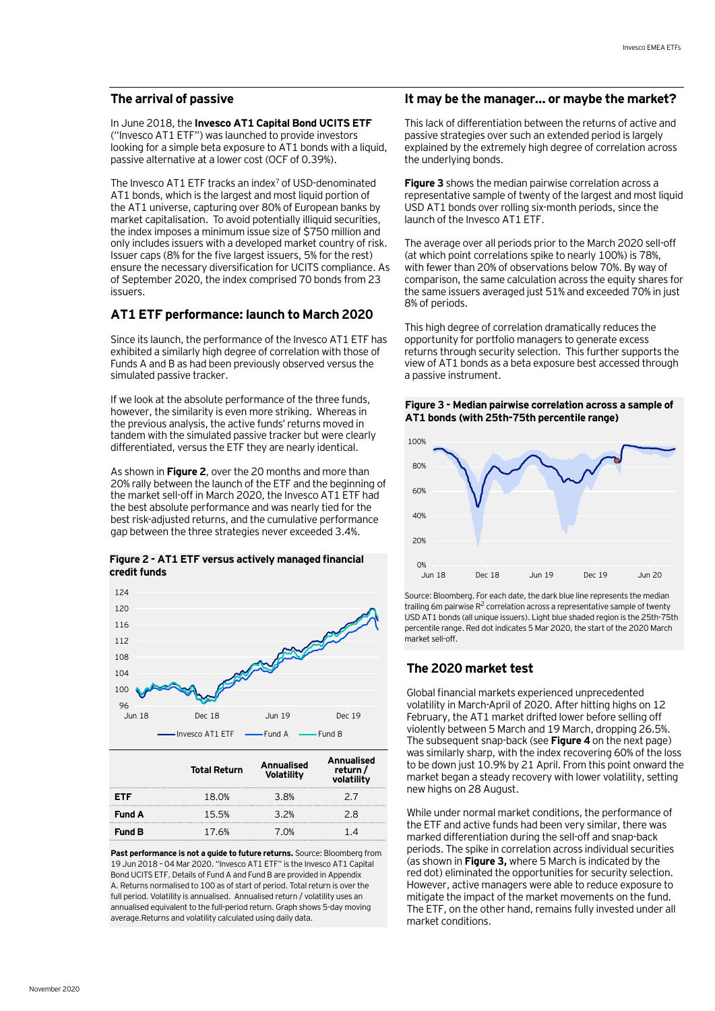#### **The arrival of passive**

#### In June 2018, the **Invesco AT1 Capital Bond UCITS ETF** ("Invesco AT1 ETF") was launched to provide investors looking for a simple beta exposure to AT1 bonds with a liquid, passive alternative at a lower cost (OCF of 0.39%).

The Invesco AT1 ETF tracks an index<sup>7</sup> of USD-denominated AT1 bonds, which is the largest and most liquid portion of the AT1 universe, capturing over 80% of European banks by market capitalisation. To avoid potentially illiquid securities, the index imposes a minimum issue size of \$750 million and only includes issuers with a developed market country of risk. Issuer caps (8% for the five largest issuers, 5% for the rest) ensure the necessary diversification for UCITS compliance. As of September 2020, the index comprised 70 bonds from 23 issuers.

#### **AT1 ETF performance: launch to March 2020**

Since its launch, the performance of the Invesco AT1 ETF has exhibited a similarly high degree of correlation with those of Funds A and B as had been previously observed versus the simulated passive tracker.

If we look at the absolute performance of the three funds, however, the similarity is even more striking. Whereas in the previous analysis, the active funds' returns moved in tandem with the simulated passive tracker but were clearly differentiated, versus the ETF they are nearly identical.

As shown in **Figure 2**, over the 20 months and more than 20% rally between the launch of the ETF and the beginning of the market sell-off in March 2020, the Invesco AT1 ETF had the best absolute performance and was nearly tied for the best risk-adjusted returns, and the cumulative performance gap between the three strategies never exceeded 3.4%.

#### **Figure 2 - AT1 ETF versus actively managed financial credit funds**



|               | <b>Total Return</b> | <b>Annualised</b><br><b>Volatility</b> | Annualised<br>return /<br>volatility |
|---------------|---------------------|----------------------------------------|--------------------------------------|
| FTF           | 18.0%               | 3.8%                                   | 27                                   |
| <b>Fund A</b> | 15.5%               | 3.2%                                   | 2 R                                  |
| <b>Fund B</b> | 17.6%               | 7.O <sub>%</sub>                       | 14                                   |

**Past performance is not a guide to future returns.** Source: Bloomberg from 19 Jun 2018 – 04 Mar 2020. "Invesco AT1 ETF" is the Invesco AT1 Capital Bond UCITS ETF. Details of Fund A and Fund B are provided in Appendix A. Returns normalised to 100 as of start of period. Total return is over the full period. Volatility is annualised. Annualised return / volatility uses an annualised equivalent to the full-period return. Graph shows 5-day moving average.Returns and volatility calculated using daily data.

#### **It may be the manager… or maybe the market?**

This lack of differentiation between the returns of active and passive strategies over such an extended period is largely explained by the extremely high degree of correlation across the underlying bonds.

**Figure 3** shows the median pairwise correlation across a representative sample of twenty of the largest and most liquid USD AT1 bonds over rolling six-month periods, since the launch of the Invesco AT1 ETF.

The average over all periods prior to the March 2020 sell-off (at which point correlations spike to nearly 100%) is 78%, with fewer than 20% of observations below 70%. By way of comparison, the same calculation across the equity shares for the same issuers averaged just 51% and exceeded 70% in just 8% of periods.

This high degree of correlation dramatically reduces the opportunity for portfolio managers to generate excess returns through security selection. This further supports the view of AT1 bonds as a beta exposure best accessed through a passive instrument.

#### **Figure 3 - Median pairwise correlation across a sample of AT1 bonds (with 25th-75th percentile range)**



Source: Bloomberg. For each date, the dark blue line represents the median trailing 6m pairwise  $R^2$  correlation across a representative sample of twenty USD AT1 bonds (all unique issuers). Light blue shaded region is the 25th-75th percentile range. Red dot indicates 5 Mar 2020, the start of the 2020 March market sell-off.

## **The 2020 market test**

Global financial markets experienced unprecedented volatility in March-April of 2020. After hitting highs on 12 February, the AT1 market drifted lower before selling off violently between 5 March and 19 March, dropping 26.5%. The subsequent snap-back (see **Figure 4** on the next page) was similarly sharp, with the index recovering 60% of the loss to be down just 10.9% by 21 April. From this point onward the market began a steady recovery with lower volatility, setting new highs on 28 August.

While under normal market conditions, the performance of the ETF and active funds had been very similar, there was marked differentiation during the sell-off and snap-back periods. The spike in correlation across individual securities (as shown in **Figure 3,** where 5 March is indicated by the red dot) eliminated the opportunities for security selection. However, active managers were able to reduce exposure to mitigate the impact of the market movements on the fund. The ETF, on the other hand, remains fully invested under all market conditions.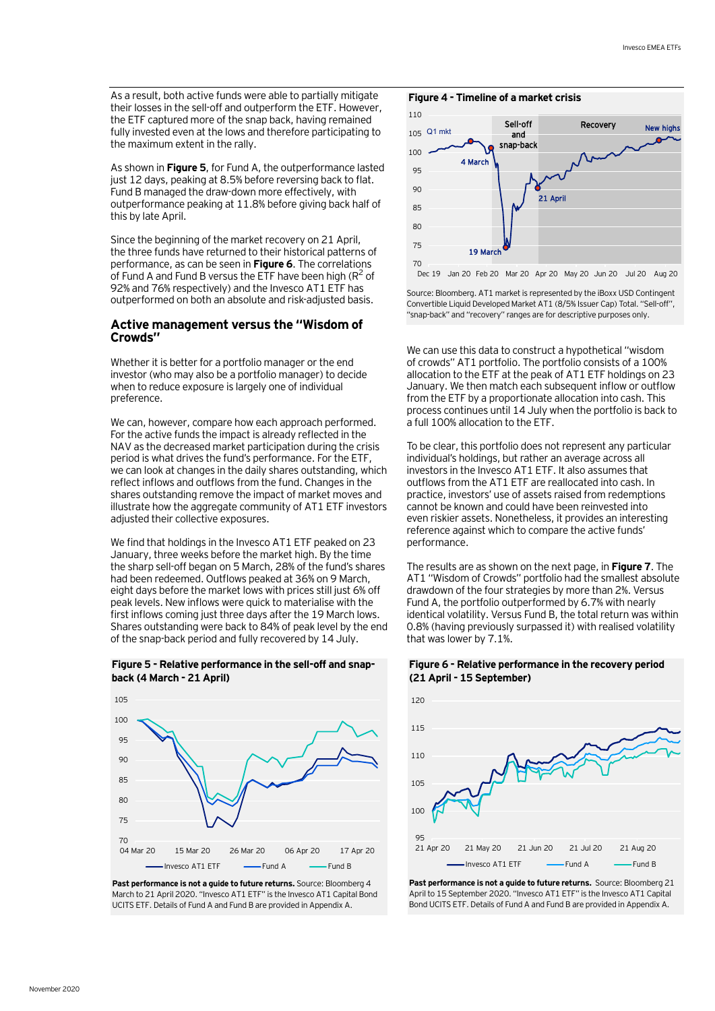As a result, both active funds were able to partially mitigate their losses in the sell-off and outperform the ETF. However, the ETF captured more of the snap back, having remained fully invested even at the lows and therefore participating to the maximum extent in the rally.

As shown in **Figure 5**, for Fund A, the outperformance lasted just 12 days, peaking at 8.5% before reversing back to flat. Fund B managed the draw-down more effectively, with outperformance peaking at 11.8% before giving back half of this by late April.

Since the beginning of the market recovery on 21 April, the three funds have returned to their historical patterns of performance, as can be seen in **Figure 6**. The correlations of Fund A and Fund B versus the ETF have been high ( $R^2$  of 92% and 76% respectively) and the Invesco AT1 ETF has outperformed on both an absolute and risk-adjusted basis.

#### **Active management versus the "Wisdom of Crowds"**

Whether it is better for a portfolio manager or the end investor (who may also be a portfolio manager) to decide when to reduce exposure is largely one of individual preference.

We can, however, compare how each approach performed. For the active funds the impact is already reflected in the NAV as the decreased market participation during the crisis period is what drives the fund's performance. For the ETF, we can look at changes in the daily shares outstanding, which reflect inflows and outflows from the fund. Changes in the shares outstanding remove the impact of market moves and illustrate how the aggregate community of AT1 ETF investors adjusted their collective exposures.

We find that holdings in the Invesco AT1 ETF peaked on 23 January, three weeks before the market high. By the time the sharp sell-off began on 5 March, 28% of the fund's shares had been redeemed. Outflows peaked at 36% on 9 March, eight days before the market lows with prices still just 6% off peak levels. New inflows were quick to materialise with the first inflows coming just three days after the 19 March lows. Shares outstanding were back to 84% of peak level by the end of the snap-back period and fully recovered by 14 July.





**Past performance is not a quide to future returns.** Source: Bloomberg 4 March to 21 April 2020. "Invesco AT1 ETF" is the Invesco AT1 Capital Bond UCITS ETF. Details of Fund A and Fund B are provided in Appendix A.





Dec 19 Jan 20 Feb 20 Mar 20 Apr 20 May 20 Jun 20 Jul 20 Aug 20

Source: Bloomberg. AT1 market is represented by the iBoxx USD Contingent Convertible Liquid Developed Market AT1 (8/5% Issuer Cap) Total. "Sell-off", "snap-back" and "recovery" ranges are for descriptive purposes only.

We can use this data to construct a hypothetical "wisdom of crowds" AT1 portfolio. The portfolio consists of a 100% allocation to the ETF at the peak of AT1 ETF holdings on 23 January. We then match each subsequent inflow or outflow from the ETF by a proportionate allocation into cash. This process continues until 14 July when the portfolio is back to a full 100% allocation to the ETF.

To be clear, this portfolio does not represent any particular individual's holdings, but rather an average across all investors in the Invesco AT1 ETF. It also assumes that outflows from the AT1 ETF are reallocated into cash. In practice, investors' use of assets raised from redemptions cannot be known and could have been reinvested into even riskier assets. Nonetheless, it provides an interesting reference against which to compare the active funds' performance.

The results are as shown on the next page, in **Figure 7**. The AT1 "Wisdom of Crowds" portfolio had the smallest absolute drawdown of the four strategies by more than 2%. Versus Fund A, the portfolio outperformed by 6.7% with nearly identical volatility. Versus Fund B, the total return was within 0.8% (having previously surpassed it) with realised volatility that was lower by 7.1%.

#### **Figure 6 - Relative performance in the recovery period (21 April - 15 September)**



Past performance is not a guide to future returns. Source: Bloomberg 21 April to 15 September 2020. "Invesco AT1 ETF" is the Invesco AT1 Capital Bond UCITS ETF. Details of Fund A and Fund B are provided in Appendix A.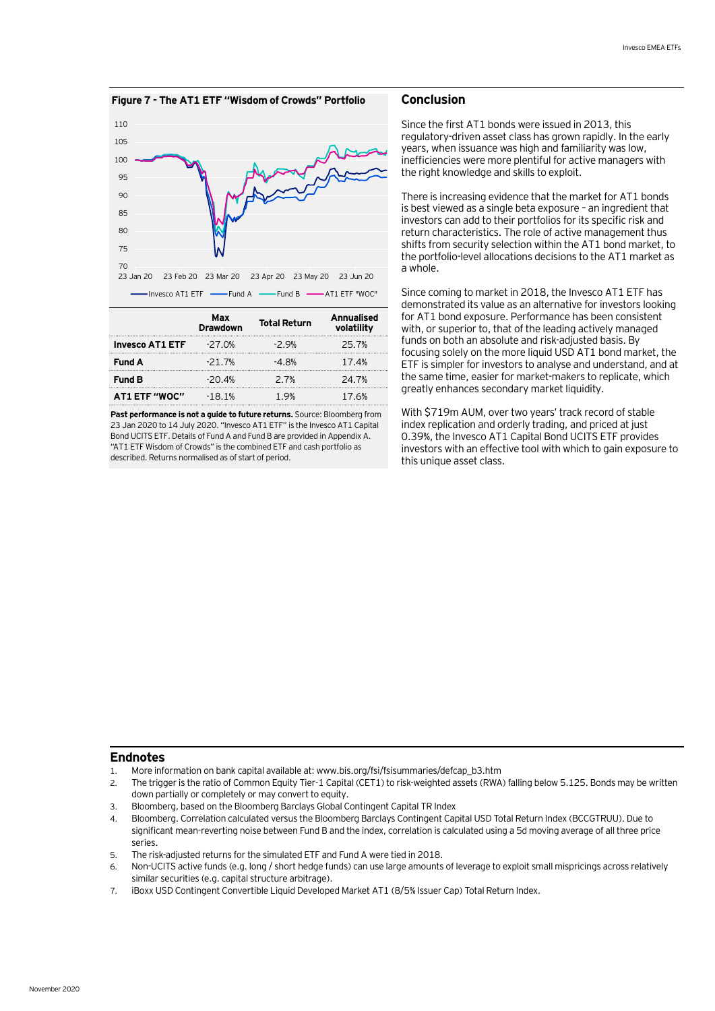



|                        | Max<br>Drawdown | <b>Total Return</b> | Annualised<br>volatility |
|------------------------|-----------------|---------------------|--------------------------|
| <b>Invesco AT1 ETF</b> | $-27.0%$        | $-2.9%$             | 25.7%                    |
| <b>Fund A</b>          | $-21.7%$        | -4.8%               | 17.4%                    |
| <b>Fund B</b>          | $-20.4%$        | 2.7%                | 24.7%                    |
| <b>AT1 ETF "WOC"</b>   | $-18.1%$        | 1 Q%                | 17.6%                    |

**Past performance is not a guide to future returns.** Source: Bloomberg from 23 Jan 2020 to 14 July 2020. "Invesco AT1 ETF" is the Invesco AT1 Capital Bond UCITS ETF. Details of Fund A and Fund B are provided in Appendix A. "AT1 ETF Wisdom of Crowds" is the combined ETF and cash portfolio as described. Returns normalised as of start of period.

#### **Conclusion**

Since the first AT1 bonds were issued in 2013, this regulatory-driven asset class has grown rapidly. In the early years, when issuance was high and familiarity was low, inefficiencies were more plentiful for active managers with the right knowledge and skills to exploit.

There is increasing evidence that the market for AT1 bonds is best viewed as a single beta exposure – an ingredient that investors can add to their portfolios for its specific risk and return characteristics. The role of active management thus shifts from security selection within the AT1 bond market, to the portfolio-level allocations decisions to the AT1 market as a whole.

Since coming to market in 2018, the Invesco AT1 ETF has demonstrated its value as an alternative for investors looking for AT1 bond exposure. Performance has been consistent with, or superior to, that of the leading actively managed funds on both an absolute and risk-adjusted basis. By focusing solely on the more liquid USD AT1 bond market, the ETF is simpler for investors to analyse and understand, and at the same time, easier for market-makers to replicate, which greatly enhances secondary market liquidity.

With \$719m AUM, over two years' track record of stable index replication and orderly trading, and priced at just 0.39%, the Invesco AT1 Capital Bond UCITS ETF provides investors with an effective tool with which to gain exposure to this unique asset class.

#### **Endnotes**

- 1. More information on bank capital available at: www.bis.org/fsi/fsisummaries/defcap\_b3.htm
- 2. The trigger is the ratio of Common Equity Tier-1 Capital (CET1) to risk-weighted assets (RWA) falling below 5.125. Bonds may be written down partially or completely or may convert to equity.
- 3. Bloomberg, based on the Bloomberg Barclays Global Contingent Capital TR Index
- 4. Bloomberg. Correlation calculated versus the Bloomberg Barclays Contingent Capital USD Total Return Index (BCCGTRUU). Due to significant mean-reverting noise between Fund B and the index, correlation is calculated using a 5d moving average of all three price series.
- 5. The risk-adjusted returns for the simulated ETF and Fund A were tied in 2018.
- 6. Non-UCITS active funds (e.g. long / short hedge funds) can use large amounts of leverage to exploit small mispricings across relatively similar securities (e.g. capital structure arbitrage).
- 7. iBoxx USD Contingent Convertible Liquid Developed Market AT1 (8/5% Issuer Cap) Total Return Index.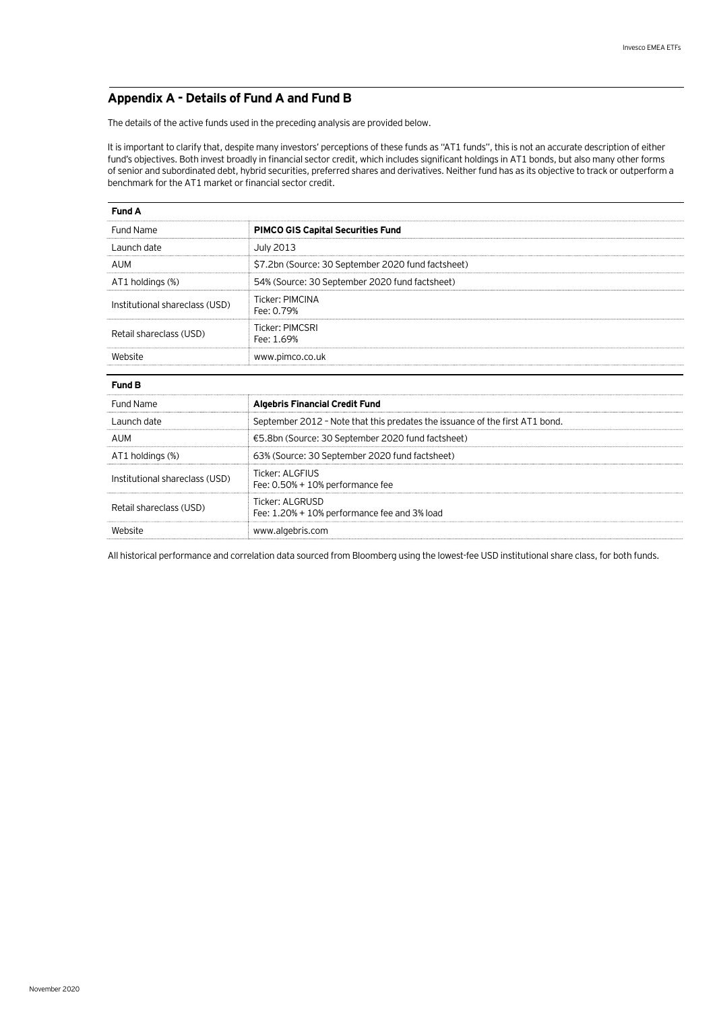## **Appendix A - Details of Fund A and Fund B**

The details of the active funds used in the preceding analysis are provided below.

It is important to clarify that, despite many investors' perceptions of these funds as "AT1 funds", this is not an accurate description of either fund's objectives. Both invest broadly in financial sector credit, which includes significant holdings in AT1 bonds, but also many other forms of senior and subordinated debt, hybrid securities, preferred shares and derivatives. Neither fund has as its objective to track or outperform a benchmark for the AT1 market or financial sector credit.

| <b>Fund A</b>                  |                                                                              |  |  |
|--------------------------------|------------------------------------------------------------------------------|--|--|
| Fund Name                      | <b>PIMCO GIS Capital Securities Fund</b>                                     |  |  |
| Launch date                    | <b>July 2013</b>                                                             |  |  |
| AUM                            | \$7.2bn (Source: 30 September 2020 fund factsheet)                           |  |  |
| AT1 holdings (%)               | 54% (Source: 30 September 2020 fund factsheet)                               |  |  |
| Institutional shareclass (USD) | <b>Ticker: PIMCINA</b><br>Fee: 0.79%                                         |  |  |
| Retail shareclass (USD)        | <b>Ticker: PIMCSRI</b><br>Fee: 1.69%                                         |  |  |
| Website                        | www.pimco.co.uk                                                              |  |  |
| Fund B                         |                                                                              |  |  |
| <b>Fund Name</b>               | <b>Algebris Financial Credit Fund</b>                                        |  |  |
| Launch date                    | September 2012 - Note that this predates the issuance of the first AT1 bond. |  |  |
| <b>AUM</b>                     | €5.8bn (Source: 30 September 2020 fund factsheet)                            |  |  |
| AT1 holdings (%)               | 63% (Source: 30 September 2020 fund factsheet)                               |  |  |
| Institutional shareclass (USD) | <b>Ticker: ALGFIUS</b><br>Fee: $0.50\% + 10\%$ performance fee               |  |  |
| Retail shareclass (USD)        | Ticker: ALGRUSD<br>Fee: 1.20% + 10% performance fee and 3% load              |  |  |
| Website                        | www.algebris.com                                                             |  |  |

All historical performance and correlation data sourced from Bloomberg using the lowest-fee USD institutional share class, for both funds.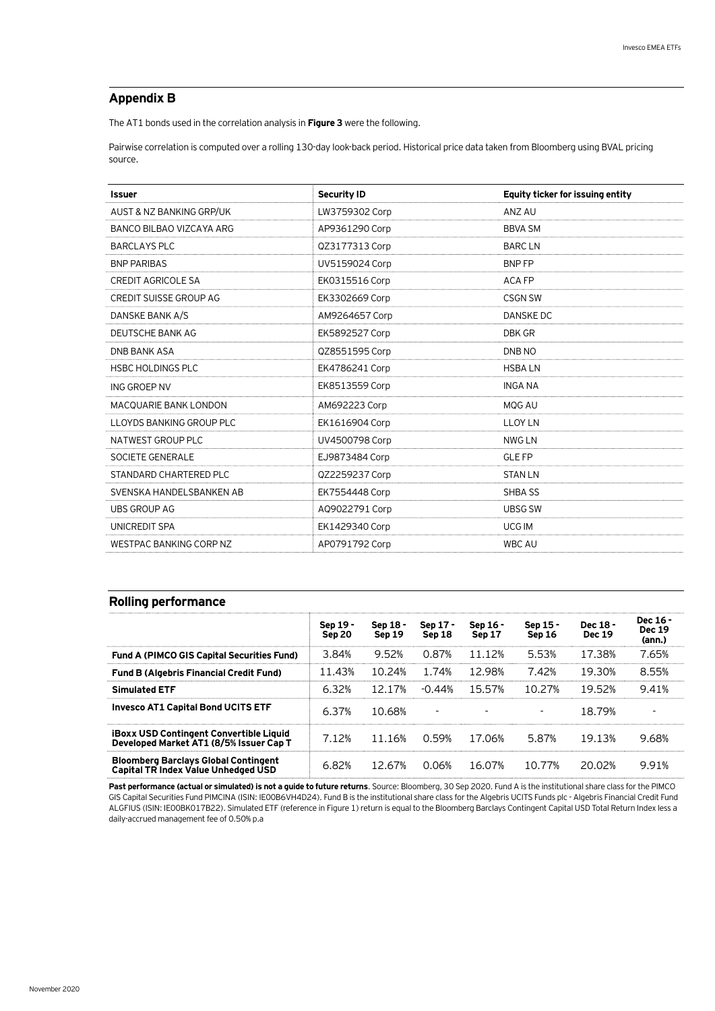## **Appendix B**

The AT1 bonds used in the correlation analysis in **Figure 3** were the following.

Pairwise correlation is computed over a rolling 130-day look-back period. Historical price data taken from Bloomberg using BVAL pricing source.

| <b>Issuer</b>                  | <b>Security ID</b> | Equity ticker for issuing entity |
|--------------------------------|--------------------|----------------------------------|
| AUST & NZ BANKING GRP/UK       | LW3759302 Corp     | ANZ AU                           |
| BANCO BILBAO VIZCAYA ARG       | AP9361290 Corp     | <b>BBVA SM</b>                   |
| <b>BARCLAYS PLC</b>            | QZ3177313 Corp     | <b>BARCLN</b>                    |
| <b>BNP PARIBAS</b>             | UV5159024 Corp     | <b>BNPFP</b>                     |
| <b>CREDIT AGRICOLE SA</b>      | EK0315516 Corp     | <b>ACA FP</b>                    |
| <b>CREDIT SUISSE GROUP AG</b>  | EK3302669 Corp     | <b>CSGN SW</b>                   |
| DANSKE BANK A/S                | AM9264657 Corp     | DANSKE DC                        |
| DEUTSCHE BANK AG               | EK5892527 Corp     | DBK GR                           |
| <b>DNB BANK ASA</b>            | QZ8551595 Corp     | DNB NO                           |
| <b>HSBC HOLDINGS PLC</b>       | EK4786241 Corp     | <b>HSBALN</b>                    |
| ING GROEP NV                   | EK8513559 Corp     | <b>INGA NA</b>                   |
| <b>MACQUARIE BANK LONDON</b>   | AM692223 Corp      | MQG AU                           |
| LLOYDS BANKING GROUP PLC       | EK1616904 Corp     | <b>LLOY LN</b>                   |
| NATWEST GROUP PLC              | UV4500798 Corp     | <b>NWG LN</b>                    |
| SOCIETE GENERALE               | EJ9873484 Corp     | <b>GLE FP</b>                    |
| STANDARD CHARTERED PLC         | QZ2259237 Corp     | <b>STAN LN</b>                   |
| SVENSKA HANDELSBANKEN AB       | EK7554448 Corp     | SHBA SS                          |
| <b>UBS GROUP AG</b>            | AQ9022791 Corp     | <b>UBSG SW</b>                   |
| UNICREDIT SPA                  | EK1429340 Corp     | <b>UCG IM</b>                    |
| <b>WESTPAC BANKING CORP NZ</b> | AP0791792 Corp     | <b>WBC AU</b>                    |

## **Rolling performance**

|                                                                                           | Sep 19 -<br>Sep 20 | Sep 18 -<br>Sep 19 | Sep 17 -<br>Sep 18 | Sep 16 -<br>Sep 17 | Sep 15 -<br>Sep 16 | Dec 18 -<br><b>Dec 19</b> | Dec 16 -<br><b>Dec 19</b><br>(ann.) |
|-------------------------------------------------------------------------------------------|--------------------|--------------------|--------------------|--------------------|--------------------|---------------------------|-------------------------------------|
| <b>Fund A (PIMCO GIS Capital Securities Fund)</b>                                         | 3.84%              | 9.52%              | 0.87%              | 11.12%             | 5.53%              | 17.38%                    | 7.65%                               |
| <b>Fund B (Algebris Financial Credit Fund)</b>                                            | 11.43%             | 10.24%             | 1.74%              | 1298%              | 742%               | 19 30%                    | 8.55%                               |
| <b>Simulated ETF</b>                                                                      | 6.32%              | 12 17%             | -0 44%             | 1557%              | 10.27%             | 19.52%                    | 941%                                |
| <b>Invesco AT1 Capital Bond UCITS ETF</b>                                                 | 6.37%              | 10.68%             |                    |                    |                    | 18.79%                    |                                     |
| <b>iBoxx USD Contingent Convertible Liquid</b><br>Developed Market AT1 (8/5% Issuer Cap T | 7.12%              | 11.16%             | 0.59%              | 17.06%             | 5.87%              | 19.13%                    | 9.68%                               |
| <b>Bloomberg Barclays Global Contingent</b><br>Capital TR Index Value Unhedged USD        | 6.82%              | 12.67%             | 0.06%              | 16.07%             | 10.77%             | 20.02%                    | 991%                                |

Past performance (actual or simulated) is not a guide to future returns. Source: Bloomberg, 30 Sep 2020. Fund A is the institutional share class for the PIMCO GIS Capital Securities Fund PIMCINA (ISIN: IE00B6VH4D24). Fund B is the institutional share class for the Algebris UCITS Funds plc - Algebris Financial Credit Fund ALGFIUS (ISIN: IE00BK017B22). Simulated ETF (reference in Figure 1) return is equal to the Bloomberg Barclays Contingent Capital USD Total Return Index less a daily-accrued management fee of 0.50% p.a